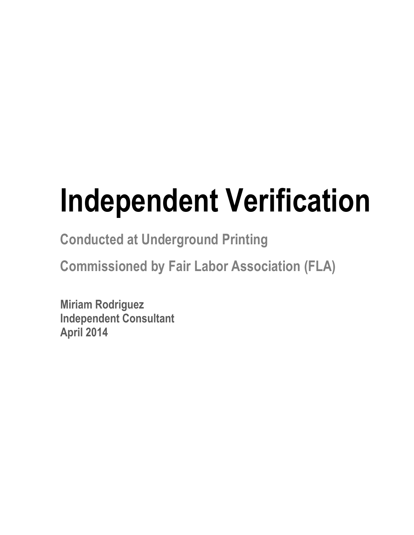# **Independent Verification**

**Conducted at Underground Printing**

**Commissioned by Fair Labor Association (FLA)**

**Miriam Rodriguez Independent Consultant April 2014**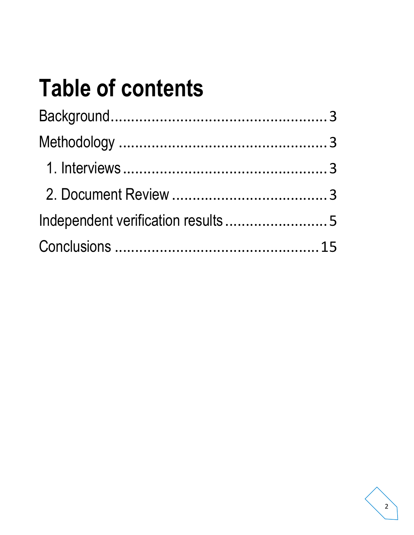# **Table of contents**

| Independent verification results5 |  |
|-----------------------------------|--|
|                                   |  |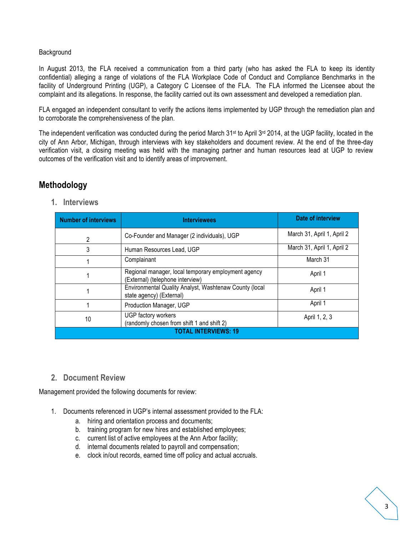#### Background

In August 2013, the FLA received a communication from a third party (who has asked the FLA to keep its identity confidential) alleging a range of violations of the FLA Workplace Code of Conduct and Compliance Benchmarks in the facility of Underground Printing (UGP), a Category C Licensee of the FLA. The FLA informed the Licensee about the complaint and its allegations. In response, the facility carried out its own assessment and developed a remediation plan.

FLA engaged an independent consultant to verify the actions items implemented by UGP through the remediation plan and to corroborate the comprehensiveness of the plan.

The independent verification was conducted during the period March  $31^{st}$  to April  $3^{rd}$  2014, at the UGP facility, located in the city of Ann Arbor, Michigan, through interviews with key stakeholders and document review. At the end of the three-day verification visit, a closing meeting was held with the managing partner and human resources lead at UGP to review outcomes of the verification visit and to identify areas of improvement.

## **Methodology**

**1. Interviews**

| <b>Number of interviews</b> | <b>Interviewees</b>                                                                     | Date of interview          |  |  |
|-----------------------------|-----------------------------------------------------------------------------------------|----------------------------|--|--|
| 2                           | Co-Founder and Manager (2 individuals), UGP                                             | March 31, April 1, April 2 |  |  |
| 3                           | Human Resources Lead, UGP                                                               | March 31, April 1, April 2 |  |  |
|                             | Complainant                                                                             | March 31                   |  |  |
|                             | Regional manager, local temporary employment agency<br>(External) (telephone interview) | April 1                    |  |  |
|                             | Environmental Quality Analyst, Washtenaw County (local<br>state agency) (External)      | April 1                    |  |  |
|                             | Production Manager, UGP                                                                 | April 1                    |  |  |
| 10                          | UGP factory workers<br>(randomly chosen from shift 1 and shift 2)                       | April 1, 2, 3              |  |  |
| TOTAI INTFRVIFWS: 19        |                                                                                         |                            |  |  |

#### **2. Document Review**

Management provided the following documents for review:

- 1. Documents referenced in UGP's internal assessment provided to the FLA:
	- a. hiring and orientation process and documents;
	- b. training program for new hires and established employees;
	- c. current list of active employees at the Ann Arbor facility;
	- d. internal documents related to payroll and compensation;
	- e. clock in/out records, earned time off policy and actual accruals.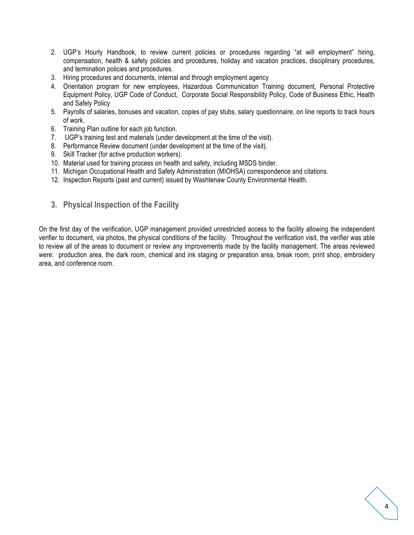- 2. UGP's Hourly Handbook, to review current policies or procedures regarding "at will employment" hiring, compensation, health & safety policies and procedures, holiday and vacation practices, disciplinary procedures, and termination policies and procedures.
- 3. Hiring procedures and documents, internal and through employment agency
- 4. Orientation program for new employees, Hazardous Communication Training document, Personal Protective Equipment Policy, UGP Code of Conduct, Corporate Social Responsibility Policy, Code of Business Ethic, Health and Safely Policy
- 5. Payrolls of salaries, bonuses and vacation, copies of pay stubs, salary questionnaire, on line reports to track hours of work.
- 6. Training Plan outline for each job function.
- 7. UGP's training test and materials (under development at the time of the visit).
- 8. Performance Review document (under development at the time of the visit).
- 9. Skill Tracker (for active production workers).
- 10. Material used for training process on health and safety, including MSDS binder.
- 11. Michigan Occupational Health and Safety Administration (MIOHSA) correspondence and citations.
- 12. Inspection Reports (past and current) issued by Washtenaw County Environmental Health.
- **3. Physical Inspection of the Facility**

On the first day of the verification, UGP management provided unrestricted access to the facility allowing the independent verifier to document, via photos, the physical conditions of the facility. Throughout the verification visit, the verifier was able to review all of the areas to document or review any improvements made by the facility management. The areas reviewed were: production area, the dark room, chemical and ink staging or preparation area, break room, print shop, embroidery area, and conference room.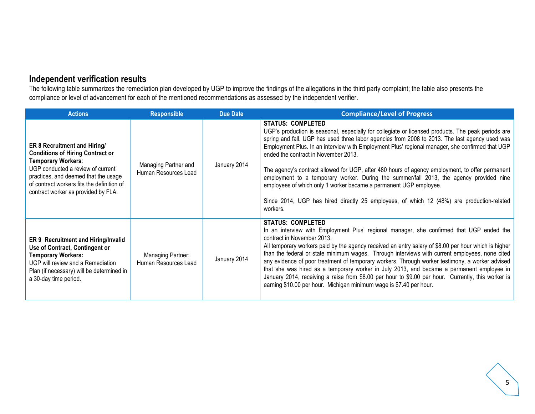## **Independent verification results**

The following table summarizes the remediation plan developed by UGP to improve the findings of the allegations in the third party complaint; the table also presents the compliance or level of advancement for each of the mentioned recommendations as assessed by the independent verifier.

| <b>Actions</b>                                                                                                                                                                                                                                                         | <b>Responsible</b>                           | <b>Due Date</b> | <b>Compliance/Level of Progress</b>                                                                                                                                                                                                                                                                                                                                                                                                                                                                                                                                                                                                                                                                                                                     |
|------------------------------------------------------------------------------------------------------------------------------------------------------------------------------------------------------------------------------------------------------------------------|----------------------------------------------|-----------------|---------------------------------------------------------------------------------------------------------------------------------------------------------------------------------------------------------------------------------------------------------------------------------------------------------------------------------------------------------------------------------------------------------------------------------------------------------------------------------------------------------------------------------------------------------------------------------------------------------------------------------------------------------------------------------------------------------------------------------------------------------|
| <b>ER 8 Recruitment and Hiring/</b><br><b>Conditions of Hiring Contract or</b><br>Temporary Workers:<br>UGP conducted a review of current<br>practices, and deemed that the usage<br>of contract workers fits the definition of<br>contract worker as provided by FLA. | Managing Partner and<br>Human Resources Lead | January 2014    | <b>STATUS: COMPLETED</b><br>UGP's production is seasonal, especially for collegiate or licensed products. The peak periods are<br>spring and fall. UGP has used three labor agencies from 2008 to 2013. The last agency used was<br>Employment Plus. In an interview with Employment Plus' regional manager, she confirmed that UGP<br>ended the contract in November 2013.<br>The agency's contract allowed for UGP, after 480 hours of agency employment, to offer permanent<br>employment to a temporary worker. During the summer/fall 2013, the agency provided nine<br>employees of which only 1 worker became a permanent UGP employee.<br>Since 2014, UGP has hired directly 25 employees, of which 12 (48%) are production-related<br>workers. |
| <b>ER 9 Recruitment and Hiring/Invalid</b><br>Use of Contract, Contingent or<br><b>Temporary Workers:</b><br>UGP will review and a Remediation<br>Plan (if necessary) will be determined in<br>a 30-day time period.                                                   | Managing Partner;<br>Human Resources Lead    | January 2014    | <b>STATUS: COMPLETED</b><br>In an interview with Employment Plus' regional manager, she confirmed that UGP ended the<br>contract in November 2013.<br>All temporary workers paid by the agency received an entry salary of \$8.00 per hour which is higher<br>than the federal or state minimum wages. Through interviews with current employees, none cited<br>any evidence of poor treatment of temporary workers. Through worker testimony, a worker advised<br>that she was hired as a temporary worker in July 2013, and became a permanent employee in<br>January 2014, receiving a raise from \$8.00 per hour to \$9.00 per hour. Currently, this worker is<br>earning \$10.00 per hour. Michigan minimum wage is \$7.40 per hour.               |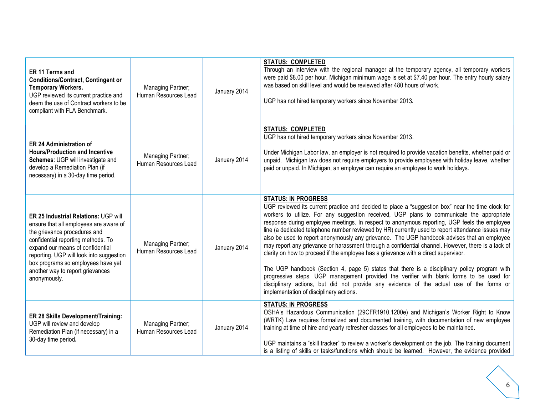| ER 11 Terms and<br><b>Conditions/Contract, Contingent or</b><br><b>Temporary Workers.</b><br>UGP reviewed its current practice and<br>deem the use of Contract workers to be<br>compliant with FLA Benchmark.                                                                                                                  | Managing Partner;<br>Human Resources Lead | January 2014 | <b>STATUS: COMPLETED</b><br>Through an interview with the regional manager at the temporary agency, all temporary workers<br>were paid \$8.00 per hour. Michigan minimum wage is set at \$7.40 per hour. The entry hourly salary<br>was based on skill level and would be reviewed after 480 hours of work.<br>UGP has not hired temporary workers since November 2013.                                                                                                                                                                                                                                                                                                                                                                                                                                                                                                                                                                                                                                                                                         |
|--------------------------------------------------------------------------------------------------------------------------------------------------------------------------------------------------------------------------------------------------------------------------------------------------------------------------------|-------------------------------------------|--------------|-----------------------------------------------------------------------------------------------------------------------------------------------------------------------------------------------------------------------------------------------------------------------------------------------------------------------------------------------------------------------------------------------------------------------------------------------------------------------------------------------------------------------------------------------------------------------------------------------------------------------------------------------------------------------------------------------------------------------------------------------------------------------------------------------------------------------------------------------------------------------------------------------------------------------------------------------------------------------------------------------------------------------------------------------------------------|
| <b>ER 24 Administration of</b><br><b>Hours/Production and Incentive</b><br>Schemes: UGP will investigate and<br>develop a Remediation Plan (if<br>necessary) in a 30-day time period.                                                                                                                                          | Managing Partner;<br>Human Resources Lead | January 2014 | <b>STATUS: COMPLETED</b><br>UGP has not hired temporary workers since November 2013.<br>Under Michigan Labor law, an employer is not required to provide vacation benefits, whether paid or<br>unpaid. Michigan law does not require employers to provide employees with holiday leave, whether<br>paid or unpaid. In Michigan, an employer can require an employee to work holidays.                                                                                                                                                                                                                                                                                                                                                                                                                                                                                                                                                                                                                                                                           |
| ER 25 Industrial Relations: UGP will<br>ensure that all employees are aware of<br>the grievance procedures and<br>confidential reporting methods. To<br>expand our means of confidential<br>reporting, UGP will look into suggestion<br>box programs so employees have yet<br>another way to report grievances<br>anonymously. | Managing Partner;<br>Human Resources Lead | January 2014 | <b>STATUS: IN PROGRESS</b><br>UGP reviewed its current practice and decided to place a "suggestion box" near the time clock for<br>workers to utilize. For any suggestion received, UGP plans to communicate the appropriate<br>response during employee meetings. In respect to anonymous reporting, UGP feels the employee<br>line (a dedicated telephone number reviewed by HR) currently used to report attendance issues may<br>also be used to report anonymously any grievance. The UGP handbook advises that an employee<br>may report any grievance or harassment through a confidential channel. However, there is a lack of<br>clarity on how to proceed if the employee has a grievance with a direct supervisor.<br>The UGP handbook (Section 4, page 5) states that there is a disciplinary policy program with<br>progressive steps. UGP management provided the verifier with blank forms to be used for<br>disciplinary actions, but did not provide any evidence of the actual use of the forms or<br>implementation of disciplinary actions. |
| ER 28 Skills Development/Training:<br>UGP will review and develop<br>Remediation Plan (if necessary) in a<br>30-day time period.                                                                                                                                                                                               | Managing Partner;<br>Human Resources Lead | January 2014 | <b>STATUS: IN PROGRESS</b><br>OSHA's Hazardous Communication (29CFR1910.1200e) and Michigan's Worker Right to Know<br>(WRTK) Law requires formalized and documented training, with documentation of new employee<br>training at time of hire and yearly refresher classes for all employees to be maintained.<br>UGP maintains a "skill tracker" to review a worker's development on the job. The training document<br>is a listing of skills or tasks/functions which should be learned. However, the evidence provided                                                                                                                                                                                                                                                                                                                                                                                                                                                                                                                                        |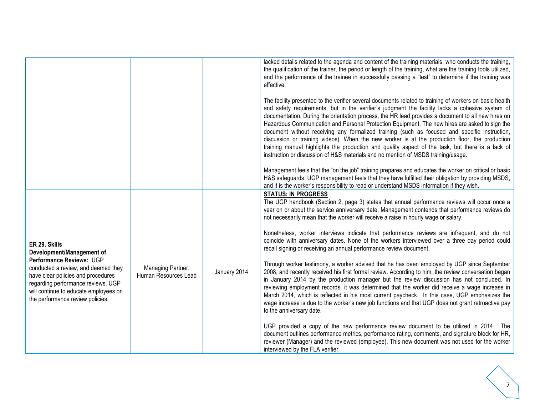|                                                                                                                                                                                                                          |                                           |              | lacked details related to the agenda and content of the training materials, who conducts the training,<br>the qualification of the trainer, the period or length of the training, what are the training tools utilized,<br>and the performance of the trainee in successfully passing a "test" to determine if the training was<br>effective.                                                                                                                                                                                                                                                                                                                                                                                                                                                                  |
|--------------------------------------------------------------------------------------------------------------------------------------------------------------------------------------------------------------------------|-------------------------------------------|--------------|----------------------------------------------------------------------------------------------------------------------------------------------------------------------------------------------------------------------------------------------------------------------------------------------------------------------------------------------------------------------------------------------------------------------------------------------------------------------------------------------------------------------------------------------------------------------------------------------------------------------------------------------------------------------------------------------------------------------------------------------------------------------------------------------------------------|
|                                                                                                                                                                                                                          |                                           |              | The facility presented to the verifier several documents related to training of workers on basic health<br>and safety requirements, but in the verifier's judgment the facility lacks a cohesive system of<br>documentation. During the orientation process, the HR lead provides a document to all new hires on<br>Hazardous Communication and Personal Protection Equipment. The new hires are asked to sign the<br>document without receiving any formalized training (such as focused and specific instruction,<br>discussion or training videos). When the new worker is at the production floor, the production<br>training manual highlights the production and quality aspect of the task, but there is a lack of<br>instruction or discussion of H&S materials and no mention of MSDS training/usage. |
|                                                                                                                                                                                                                          |                                           |              | Management feels that the "on the job" training prepares and educates the worker on critical or basic<br>H&S safeguards. UGP management feels that they have fulfilled their obligation by providing MSDS,<br>and it is the worker's responsibility to read or understand MSDS information if they wish.                                                                                                                                                                                                                                                                                                                                                                                                                                                                                                       |
|                                                                                                                                                                                                                          |                                           |              | <b>STATUS: IN PROGRESS</b><br>The UGP handbook (Section 2, page 3) states that annual performance reviews will occur once a<br>year on or about the service anniversary date. Management contends that performance reviews do<br>not necessarily mean that the worker will receive a raise in hourly wage or salary.                                                                                                                                                                                                                                                                                                                                                                                                                                                                                           |
| ER 29. Skills<br>Development/Management of                                                                                                                                                                               |                                           |              | Nonetheless, worker interviews indicate that performance reviews are infrequent, and do not<br>coincide with anniversary dates. None of the workers interviewed over a three day period could<br>recall signing or receiving an annual performance review document.                                                                                                                                                                                                                                                                                                                                                                                                                                                                                                                                            |
| Performance Reviews: UGP<br>conducted a review, and deemed they<br>have clear policies and procedures<br>regarding performance reviews. UGP<br>will continue to educate employees on<br>the performance review policies. | Managing Partner;<br>Human Resources Lead | January 2014 | Through worker testimony, a worker advised that he has been employed by UGP since September<br>2008, and recently received his first formal review. According to him, the review conversation began<br>in January 2014 by the production manager but the review discussion has not concluded. In<br>reviewing employment records, it was determined that the worker did receive a wage increase in<br>March 2014, which is reflected in his most current paycheck. In this case, UGP emphasizes the<br>wage increase is due to the worker's new job functions and that UGP does not grant retroactive pay<br>to the anniversary date.                                                                                                                                                                          |
|                                                                                                                                                                                                                          |                                           |              | UGP provided a copy of the new performance review document to be utilized in 2014. The<br>document outlines performance metrics, performance rating, comments, and signature block for HR,<br>reviewer (Manager) and the reviewed (employee). This new document was not used for the worker<br>interviewed by the FLA verifier.                                                                                                                                                                                                                                                                                                                                                                                                                                                                                |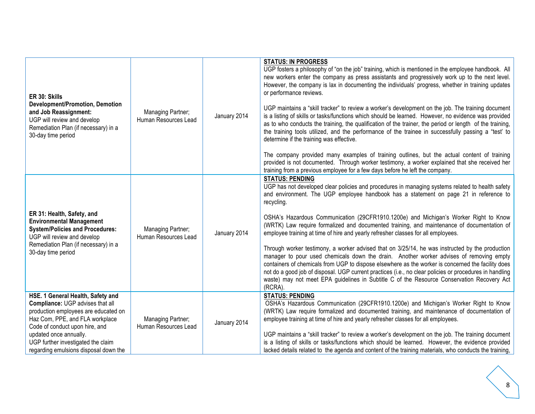| ER 30: Skills<br><b>Development/Promotion, Demotion</b><br>and Job Reassignment:<br>UGP will review and develop<br>Remediation Plan (if necessary) in a<br>30-day time period                                                                                                               | Managing Partner;<br>Human Resources Lead | January 2014 | <b>STATUS: IN PROGRESS</b><br>UGP fosters a philosophy of "on the job" training, which is mentioned in the employee handbook. All<br>new workers enter the company as press assistants and progressively work up to the next level.<br>However, the company is lax in documenting the individuals' progress, whether in training updates<br>or performance reviews.<br>UGP maintains a "skill tracker" to review a worker's development on the job. The training document<br>is a listing of skills or tasks/functions which should be learned. However, no evidence was provided<br>as to who conducts the training, the qualification of the trainer, the period or length of the training,<br>the training tools utilized, and the performance of the trainee in successfully passing a "test' to<br>determine if the training was effective.<br>The company provided many examples of training outlines, but the actual content of training<br>provided is not documented. Through worker testimony, a worker explained that she received her<br>training from a previous employee for a few days before he left the company. |
|---------------------------------------------------------------------------------------------------------------------------------------------------------------------------------------------------------------------------------------------------------------------------------------------|-------------------------------------------|--------------|-----------------------------------------------------------------------------------------------------------------------------------------------------------------------------------------------------------------------------------------------------------------------------------------------------------------------------------------------------------------------------------------------------------------------------------------------------------------------------------------------------------------------------------------------------------------------------------------------------------------------------------------------------------------------------------------------------------------------------------------------------------------------------------------------------------------------------------------------------------------------------------------------------------------------------------------------------------------------------------------------------------------------------------------------------------------------------------------------------------------------------------|
| ER 31: Health, Safety, and<br><b>Environmental Management</b><br><b>System/Policies and Procedures:</b><br>UGP will review and develop<br>Remediation Plan (if necessary) in a<br>30-day time period                                                                                        | Managing Partner;<br>Human Resources Lead | January 2014 | <b>STATUS: PENDING</b><br>UGP has not developed clear policies and procedures in managing systems related to health safety<br>and environment. The UGP employee handbook has a statement on page 21 in reference to<br>recycling.<br>OSHA's Hazardous Communication (29CFR1910.1200e) and Michigan's Worker Right to Know<br>(WRTK) Law require formalized and documented training, and maintenance of documentation of<br>employee training at time of hire and yearly refresher classes for all employees.<br>Through worker testimony, a worker advised that on 3/25/14, he was instructed by the production<br>manager to pour used chemicals down the drain. Another worker advises of removing empty<br>containers of chemicals from UGP to dispose elsewhere as the worker is concerned the facility does<br>not do a good job of disposal. UGP current practices (i.e., no clear policies or procedures in handling<br>waste) may not meet EPA guidelines in Subtitle C of the Resource Conservation Recovery Act<br>(RCRA).                                                                                              |
| HSE. 1 General Health, Safety and<br>Compliance: UGP advises that all<br>production employees are educated on<br>Haz Com, PPE, and FLA workplace<br>Code of conduct upon hire, and<br>updated once annually.<br>UGP further investigated the claim<br>regarding emulsions disposal down the | Managing Partner;<br>Human Resources Lead | January 2014 | <b>STATUS: PENDING</b><br>OSHA's Hazardous Communication (29CFR1910.1200e) and Michigan's Worker Right to Know<br>(WRTK) Law require formalized and documented training, and maintenance of documentation of<br>employee training at time of hire and yearly refresher classes for all employees.<br>UGP maintains a "skill tracker" to review a worker's development on the job. The training document<br>is a listing of skills or tasks/functions which should be learned. However, the evidence provided<br>lacked details related to the agenda and content of the training materials, who conducts the training,                                                                                                                                                                                                                                                                                                                                                                                                                                                                                                            |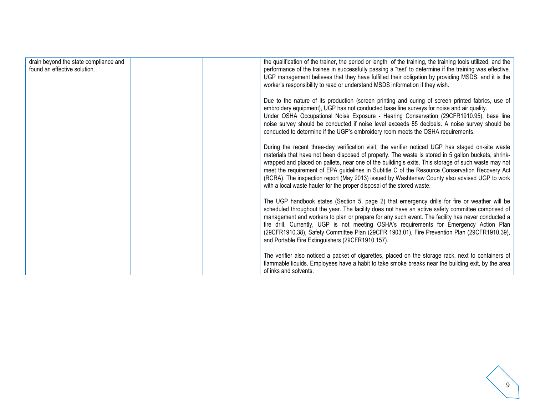| drain beyond the state compliance and<br>found an effective solution. | the qualification of the trainer, the period or length of the training, the training tools utilized, and the<br>performance of the trainee in successfully passing a "test' to determine if the training was effective.<br>UGP management believes that they have fulfilled their obligation by providing MSDS, and it is the<br>worker's responsibility to read or understand MSDS information if they wish.                                                                                                                                                                               |
|-----------------------------------------------------------------------|---------------------------------------------------------------------------------------------------------------------------------------------------------------------------------------------------------------------------------------------------------------------------------------------------------------------------------------------------------------------------------------------------------------------------------------------------------------------------------------------------------------------------------------------------------------------------------------------|
|                                                                       | Due to the nature of its production (screen printing and curing of screen printed fabrics, use of<br>embroidery equipment), UGP has not conducted base line surveys for noise and air quality.<br>Under OSHA Occupational Noise Exposure - Hearing Conservation (29CFR1910.95), base line<br>noise survey should be conducted if noise level exceeds 85 decibels. A noise survey should be<br>conducted to determine if the UGP's embroidery room meets the OSHA requirements.                                                                                                              |
|                                                                       | During the recent three-day verification visit, the verifier noticed UGP has staged on-site waste<br>materials that have not been disposed of properly. The waste is stored in 5 gallon buckets, shrink-<br>wrapped and placed on pallets, near one of the building's exits. This storage of such waste may not<br>meet the requirement of EPA guidelines in Subtitle C of the Resource Conservation Recovery Act<br>(RCRA). The inspection report (May 2013) issued by Washtenaw County also advised UGP to work<br>with a local waste hauler for the proper disposal of the stored waste. |
|                                                                       | The UGP handbook states (Section 5, page 2) that emergency drills for fire or weather will be<br>scheduled throughout the year. The facility does not have an active safety committee comprised of<br>management and workers to plan or prepare for any such event. The facility has never conducted a<br>fire drill. Currently, UGP is not meeting OSHA's requirements for Emergency Action Plan<br>(29CFR1910.38), Safety Committee Plan (29CFR 1903.01), Fire Prevention Plan (29CFR1910.39),<br>and Portable Fire Extinguishers (29CFR1910.157).                                        |
|                                                                       | The verifier also noticed a packet of cigarettes, placed on the storage rack, next to containers of<br>flammable liquids. Employees have a habit to take smoke breaks near the building exit, by the area<br>of inks and solvents.                                                                                                                                                                                                                                                                                                                                                          |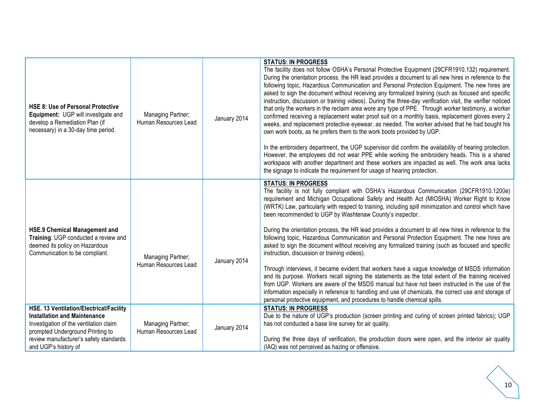| HSE 8: Use of Personal Protective<br>Equipment: UGP will investigate and<br>develop a Remediation Plan (if<br>necessary) in a 30-day time period.                                                                              | Managing Partner;<br>Human Resources Lead | January 2014 | <b>STATUS: IN PROGRESS</b><br>The facility does not follow OSHA's Personal Protective Equipment (29CFR1910.132) requirement.<br>During the orientation process, the HR lead provides a document to all new hires in reference to the<br>following topic, Hazardous Communication and Personal Protection Equipment. The new hires are<br>asked to sign the document without receiving any formalized training (such as focused and specific<br>instruction, discussion or training videos). During the three-day verification visit, the verifier noticed<br>that only the workers in the reclaim area wore any type of PPE. Through worker testimony, a worker<br>confirmed receiving a replacement water proof suit on a monthly basis, replacement gloves every 2<br>weeks, and replacement protective eyewear, as needed. The worker advised that he had bought his<br>own work boots, as he prefers them to the work boots provided by UGP.<br>In the embroidery department, the UGP supervisor did confirm the availability of hearing protection.<br>However, the employees did not wear PPE while working the embroidery heads. This is a shared<br>workspace with another department and these workers are impacted as well. The work area lacks<br>the signage to indicate the requirement for usage of hearing protection. |
|--------------------------------------------------------------------------------------------------------------------------------------------------------------------------------------------------------------------------------|-------------------------------------------|--------------|---------------------------------------------------------------------------------------------------------------------------------------------------------------------------------------------------------------------------------------------------------------------------------------------------------------------------------------------------------------------------------------------------------------------------------------------------------------------------------------------------------------------------------------------------------------------------------------------------------------------------------------------------------------------------------------------------------------------------------------------------------------------------------------------------------------------------------------------------------------------------------------------------------------------------------------------------------------------------------------------------------------------------------------------------------------------------------------------------------------------------------------------------------------------------------------------------------------------------------------------------------------------------------------------------------------------------------------|
| <b>HSE.9 Chemical Management and</b><br>Training: UGP conducted a review and<br>deemed its policy on Hazardous<br>Communication to be compliant.                                                                               | Managing Partner;<br>Human Resources Lead | January 2014 | <b>STATUS: IN PROGRESS</b><br>The facility is not fully compliant with OSHA's Hazardous Communication (29CFR1910.1200e)<br>requirement and Michigan Occupational Safety and Health Act (MIOSHA) Worker Right to Know<br>(WRTK) Law, particularly with respect to training, including spill minimization and control which have<br>been recommended to UGP by Washtenaw County's inspector.<br>During the orientation process, the HR lead provides a document to all new hires in reference to the<br>following topic, Hazardous Communication and Personal Protection Equipment. The new hires are<br>asked to sign the document without receiving any formalized training (such as focused and specific<br>instruction, discussion or training videos).<br>Through interviews, it became evident that workers have a vague knowledge of MSDS information<br>and its purpose. Workers recall signing the statements as the total extent of the training received<br>from UGP. Workers are aware of the MSDS manual but have not been instructed in the use of the<br>information especially in reference to handling and use of chemicals, the correct use and storage of<br>personal protective equipment, and procedures to handle chemical spills.                                                                                |
| HSE. 13 Ventilation/Electrical/Facility<br><b>Installation and Maintenance</b><br>Investigation of the ventilation claim<br>prompted Underground Printing to<br>review manufacturer's safety standards<br>and UGP's history of | Managing Partner;<br>Human Resources Lead | January 2014 | <b>STATUS: IN PROGRESS</b><br>Due to the nature of UGP's production (screen printing and curing of screen printed fabrics); UGP<br>has not conducted a base line survey for air quality.<br>During the three days of verification, the production doors were open, and the interior air quality<br>(IAQ) was not perceived as hazing or offensive.                                                                                                                                                                                                                                                                                                                                                                                                                                                                                                                                                                                                                                                                                                                                                                                                                                                                                                                                                                                    |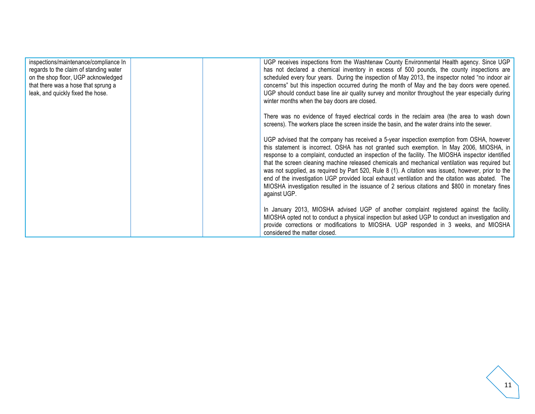| inspections/maintenance/compliance In  | UGP receives inspections from the Washtenaw County Environmental Health agency. Since UGP           |
|----------------------------------------|-----------------------------------------------------------------------------------------------------|
| regards to the claim of standing water | has not declared a chemical inventory in excess of 500 pounds, the county inspections are           |
| on the shop floor, UGP acknowledged    | scheduled every four years. During the inspection of May 2013, the inspector noted "no indoor air   |
| that there was a hose that sprung a    | concerns" but this inspection occurred during the month of May and the bay doors were opened.       |
| leak, and quickly fixed the hose.      | UGP should conduct base line air quality survey and monitor throughout the year especially during   |
|                                        | winter months when the bay doors are closed.                                                        |
|                                        | There was no evidence of frayed electrical cords in the reclaim area (the area to wash down         |
|                                        | screens). The workers place the screen inside the basin, and the water drains into the sewer.       |
|                                        | UGP advised that the company has received a 5-year inspection exemption from OSHA, however          |
|                                        | this statement is incorrect. OSHA has not granted such exemption. In May 2006, MIOSHA, in           |
|                                        | response to a complaint, conducted an inspection of the facility. The MIOSHA inspector identified   |
|                                        | that the screen cleaning machine released chemicals and mechanical ventilation was required but     |
|                                        | was not supplied, as required by Part 520, Rule 8 (1). A citation was issued, however, prior to the |
|                                        | end of the investigation UGP provided local exhaust ventilation and the citation was abated. The    |
|                                        | MIOSHA investigation resulted in the issuance of 2 serious citations and \$800 in monetary fines    |
|                                        | against UGP.                                                                                        |
|                                        | In January 2013, MIOSHA advised UGP of another complaint registered against the facility.           |
|                                        | MIOSHA opted not to conduct a physical inspection but asked UGP to conduct an investigation and     |
|                                        | provide corrections or modifications to MIOSHA. UGP responded in 3 weeks, and MIOSHA                |
|                                        | considered the matter closed.                                                                       |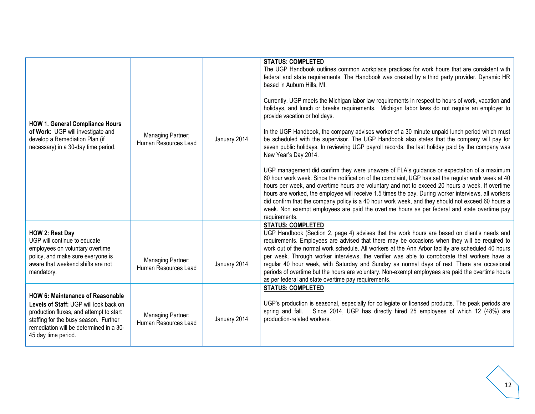|                                                                                                                                                                                                                                  |                                           |              | <b>STATUS: COMPLETED</b><br>The UGP Handbook outlines common workplace practices for work hours that are consistent with<br>federal and state requirements. The Handbook was created by a third party provider, Dynamic HR<br>based in Auburn Hills, MI.                                                                                                                                                                                                                                                                                                                                                                           |
|----------------------------------------------------------------------------------------------------------------------------------------------------------------------------------------------------------------------------------|-------------------------------------------|--------------|------------------------------------------------------------------------------------------------------------------------------------------------------------------------------------------------------------------------------------------------------------------------------------------------------------------------------------------------------------------------------------------------------------------------------------------------------------------------------------------------------------------------------------------------------------------------------------------------------------------------------------|
| <b>HOW 1. General Compliance Hours</b>                                                                                                                                                                                           |                                           |              | Currently, UGP meets the Michigan labor law requirements in respect to hours of work, vacation and<br>holidays, and lunch or breaks requirements. Michigan labor laws do not require an employer to<br>provide vacation or holidays.                                                                                                                                                                                                                                                                                                                                                                                               |
| of Work: UGP will investigate and<br>develop a Remediation Plan (if<br>necessary) in a 30-day time period.                                                                                                                       | Managing Partner;<br>Human Resources Lead | January 2014 | In the UGP Handbook, the company advises worker of a 30 minute unpaid lunch period which must<br>be scheduled with the supervisor. The UGP Handbook also states that the company will pay for<br>seven public holidays. In reviewing UGP payroll records, the last holiday paid by the company was<br>New Year's Day 2014.                                                                                                                                                                                                                                                                                                         |
|                                                                                                                                                                                                                                  |                                           |              | UGP management did confirm they were unaware of FLA's guidance or expectation of a maximum<br>60 hour work week. Since the notification of the complaint, UGP has set the regular work week at 40<br>hours per week, and overtime hours are voluntary and not to exceed 20 hours a week. If overtime<br>hours are worked, the employee will receive 1.5 times the pay. During worker interviews, all workers<br>did confirm that the company policy is a 40 hour work week, and they should not exceed 60 hours a<br>week. Non exempt employees are paid the overtime hours as per federal and state overtime pay<br>requirements. |
| HOW 2: Rest Day                                                                                                                                                                                                                  |                                           |              | <b>STATUS: COMPLETED</b><br>UGP Handbook (Section 2, page 4) advises that the work hours are based on client's needs and                                                                                                                                                                                                                                                                                                                                                                                                                                                                                                           |
| UGP will continue to educate<br>employees on voluntary overtime<br>policy, and make sure everyone is<br>aware that weekend shifts are not<br>mandatory.                                                                          | Managing Partner;<br>Human Resources Lead | January 2014 | requirements. Employees are advised that there may be occasions when they will be required to<br>work out of the normal work schedule. All workers at the Ann Arbor facility are scheduled 40 hours<br>per week. Through worker interviews, the verifier was able to corroborate that workers have a<br>regular 40 hour week, with Saturday and Sunday as normal days of rest. There are occasional<br>periods of overtime but the hours are voluntary. Non-exempt employees are paid the overtime hours<br>as per federal and state overtime pay requirements.                                                                    |
| HOW 6: Maintenance of Reasonable<br>Levels of Staff: UGP will look back on<br>production fluxes, and attempt to start<br>staffing for the busy season. Further<br>remediation will be determined in a 30-<br>45 day time period. | Managing Partner;<br>Human Resources Lead | January 2014 | <b>STATUS: COMPLETED</b><br>UGP's production is seasonal, especially for collegiate or licensed products. The peak periods are<br>spring and fall.<br>Since 2014, UGP has directly hired 25 employees of which 12 (48%) are<br>production-related workers.                                                                                                                                                                                                                                                                                                                                                                         |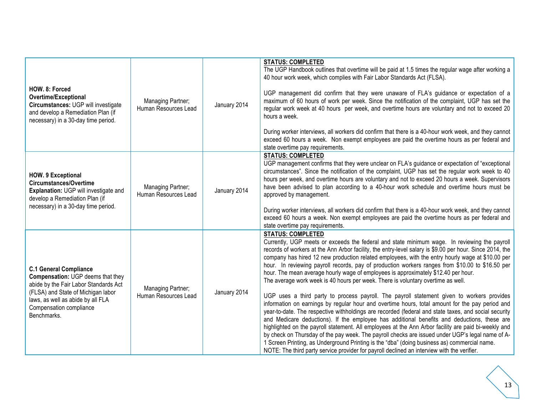| HOW. 8: Forced<br><b>Overtime/Exceptional</b><br>Circumstances: UGP will investigate<br>and develop a Remediation Plan (if<br>necessary) in a 30-day time period.                                                                | Managing Partner;<br>Human Resources Lead | January 2014 | <b>STATUS: COMPLETED</b><br>The UGP Handbook outlines that overtime will be paid at 1.5 times the regular wage after working a<br>40 hour work week, which complies with Fair Labor Standards Act (FLSA).<br>UGP management did confirm that they were unaware of FLA's guidance or expectation of a<br>maximum of 60 hours of work per week. Since the notification of the complaint, UGP has set the<br>regular work week at 40 hours per week, and overtime hours are voluntary and not to exceed 20<br>hours a week.<br>During worker interviews, all workers did confirm that there is a 40-hour work week, and they cannot<br>exceed 60 hours a week. Non exempt employees are paid the overtime hours as per federal and<br>state overtime pay requirements.                                                                                                                                                                                                                                                                                                                                                                                                                                                                                                                                                                                                                                                                       |
|----------------------------------------------------------------------------------------------------------------------------------------------------------------------------------------------------------------------------------|-------------------------------------------|--------------|-------------------------------------------------------------------------------------------------------------------------------------------------------------------------------------------------------------------------------------------------------------------------------------------------------------------------------------------------------------------------------------------------------------------------------------------------------------------------------------------------------------------------------------------------------------------------------------------------------------------------------------------------------------------------------------------------------------------------------------------------------------------------------------------------------------------------------------------------------------------------------------------------------------------------------------------------------------------------------------------------------------------------------------------------------------------------------------------------------------------------------------------------------------------------------------------------------------------------------------------------------------------------------------------------------------------------------------------------------------------------------------------------------------------------------------------|
| <b>HOW. 9 Exceptional</b><br><b>Circumstances/Overtime</b><br>Explanation: UGP will investigate and<br>develop a Remediation Plan (if<br>necessary) in a 30-day time period.                                                     | Managing Partner;<br>Human Resources Lead | January 2014 | <b>STATUS: COMPLETED</b><br>UGP management confirms that they were unclear on FLA's guidance or expectation of "exceptional<br>circumstances". Since the notification of the complaint, UGP has set the regular work week to 40<br>hours per week, and overtime hours are voluntary and not to exceed 20 hours a week. Supervisors<br>have been advised to plan according to a 40-hour work schedule and overtime hours must be<br>approved by management.<br>During worker interviews, all workers did confirm that there is a 40-hour work week, and they cannot<br>exceed 60 hours a week. Non exempt employees are paid the overtime hours as per federal and<br>state overtime pay requirements.                                                                                                                                                                                                                                                                                                                                                                                                                                                                                                                                                                                                                                                                                                                                     |
| <b>C.1 General Compliance</b><br>Compensation: UGP deems that they<br>abide by the Fair Labor Standards Act<br>(FLSA) and State of Michigan labor<br>laws, as well as abide by all FLA<br>Compensation compliance<br>Benchmarks. | Managing Partner;<br>Human Resources Lead | January 2014 | <b>STATUS: COMPLETED</b><br>Currently, UGP meets or exceeds the federal and state minimum wage. In reviewing the payroll<br>records of workers at the Ann Arbor facility, the entry-level salary is \$9.00 per hour. Since 2014, the<br>company has hired 12 new production related employees, with the entry hourly wage at \$10.00 per<br>hour. In reviewing payroll records, pay of production workers ranges from \$10.00 to \$16.50 per<br>hour. The mean average hourly wage of employees is approximately \$12.40 per hour.<br>The average work week is 40 hours per week. There is voluntary overtime as well.<br>UGP uses a third party to process payroll. The payroll statement given to workers provides<br>information on earnings by regular hour and overtime hours, total amount for the pay period and<br>year-to-date. The respective withholdings are recorded (federal and state taxes, and social security<br>and Medicare deductions). If the employee has additional benefits and deductions, these are<br>highlighted on the payroll statement. All employees at the Ann Arbor facility are paid bi-weekly and<br>by check on Thursday of the pay week. The payroll checks are issued under UGP's legal name of A-<br>1 Screen Printing, as Underground Printing is the "dba" (doing business as) commercial name.<br>NOTE: The third party service provider for payroll declined an interview with the verifier. |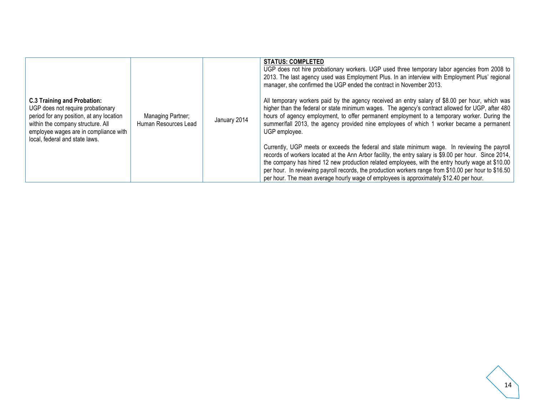|                                                                                                                                                                                                                                     |                                           |              | <b>STATUS: COMPLETED</b><br>UGP does not hire probationary workers. UGP used three temporary labor agencies from 2008 to<br>2013. The last agency used was Employment Plus. In an interview with Employment Plus' regional<br>manager, she confirmed the UGP ended the contract in November 2013.                                                                                                                                                                                                             |
|-------------------------------------------------------------------------------------------------------------------------------------------------------------------------------------------------------------------------------------|-------------------------------------------|--------------|---------------------------------------------------------------------------------------------------------------------------------------------------------------------------------------------------------------------------------------------------------------------------------------------------------------------------------------------------------------------------------------------------------------------------------------------------------------------------------------------------------------|
| <b>C.3 Training and Probation:</b><br>UGP does not require probationary<br>period for any position, at any location<br>within the company structure. All<br>employee wages are in compliance with<br>local, federal and state laws. | Managing Partner;<br>Human Resources Lead | January 2014 | All temporary workers paid by the agency received an entry salary of \$8.00 per hour, which was<br>higher than the federal or state minimum wages. The agency's contract allowed for UGP, after 480<br>hours of agency employment, to offer permanent employment to a temporary worker. During the<br>summer/fall 2013, the agency provided nine employees of which 1 worker became a permanent<br>UGP employee.                                                                                              |
|                                                                                                                                                                                                                                     |                                           |              | Currently, UGP meets or exceeds the federal and state minimum wage. In reviewing the payroll<br>records of workers located at the Ann Arbor facility, the entry salary is \$9.00 per hour. Since 2014,<br>the company has hired 12 new production related employees, with the entry hourly wage at \$10.00<br>per hour. In reviewing payroll records, the production workers range from \$10.00 per hour to \$16.50<br>per hour. The mean average hourly wage of employees is approximately \$12.40 per hour. |